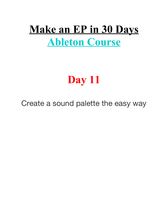# **Make an EP in 30 Days Ableton Course**

# **Day 11**

Create a sound palette the easy way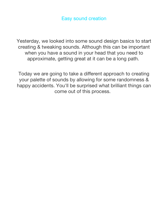Yesterday, we looked into some sound design basics to start creating & tweaking sounds. Although this can be important when you have a sound in your head that you need to approximate, getting great at it can be a long path.

Today we are going to take a diferent approach to creating your palette of sounds by allowing for some randomness & happy accidents. You'll be surprised what brilliant things can come out of this process.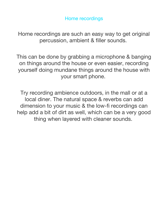Home recordings

Home recordings are such an easy way to get original percussion, ambient & filler sounds.

This can be done by grabbing a microphone & banging on things around the house or even easier, recording yourself doing mundane things around the house with your smart phone.

Try recording ambience outdoors, in the mall or at a local diner. The natural space & reverbs can add dimension to your music & the low-fi recordings can help add a bit of dirt as well, which can be a very good thing when layered with cleaner sounds.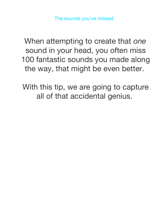When attempting to create that *one* sound in your head, you often miss 100 fantastic sounds you made along the way, that might be even better.

With this tip, we are going to capture all of that accidental genius.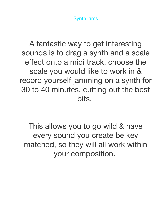Synth jams

A fantastic way to get interesting sounds is to drag a synth and a scale effect onto a midi track, choose the scale you would like to work in & record yourself jamming on a synth for 30 to 40 minutes, cutting out the best bits.

This allows you to go wild & have every sound you create be key matched, so they will all work within your composition.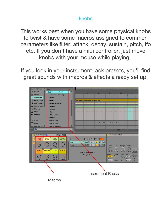#### knobs

This works best when you have some physical knobs to twist & have some macros assigned to common parameters like filter, attack, decay, sustain, pitch, Ifo etc. If you don't have a midi controller, just move knobs with your mouse while playing.

If you look in your instrument rack presets, you'll find great sounds with macros & efects already set up.

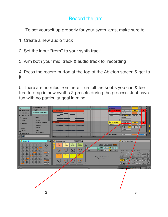#### Record the jam

To set yourself up properly for your synth jams, make sure to:

- 1. Create a new audio track
- 2. Set the input "from" to your synth track
- 3. Arm both your midi track & audio track for recording

4. Press the record button at the top of the Ableton screen & get to it

5. There are no rules from here. Turn all the knobs you can & feel free to drag in new synths & presets during the process. Just have fun with no particular goal in mind.

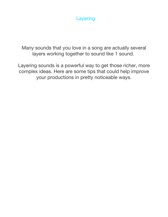

Many sounds that you love in a song are actually several layers working together to sound like 1 sound.

Layering sounds is a powerful way to get those richer, more complex ideas. Here are some tips that could help improve your productions in pretty noticeable ways.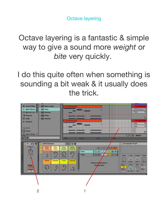Octave layering

Octave layering is a fantastic & simple way to give a sound more *weight* or *bite* very quickly.

I do this quite often when something is sounding a bit weak & it usually does the trick.

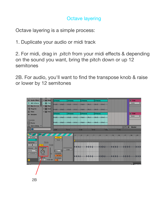#### Octave layering

Octave layering is a simple process:

1. Duplicate your audio or midi track

2. For midi, drag in *pitch* from your midi efects & depending on the sound you want, bring the pitch down or up 12 semitones

2B. For audio, you'll want to find the transpose knob & raise or lower by 12 semitones

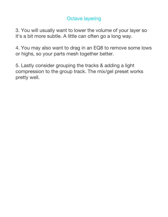### Octave layering

3. You will usually want to lower the volume of your layer so it's a bit more subtle. A little can often go a long way.

4. You may also want to drag in an EQ8 to remove some lows or highs, so your parts mesh together better.

5. Lastly consider grouping the tracks & adding a light compression to the group track. The mix/gel preset works pretty well.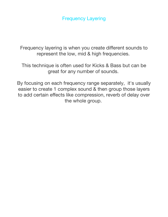Frequency Layering

Frequency layering is when you create diferent sounds to represent the low, mid & high frequencies.

This technique is often used for Kicks & Bass but can be great for any number of sounds.

By focusing on each frequency range separately, it's usually easier to create 1 complex sound & then group those layers to add certain efects like compression, reverb of delay over the whole group.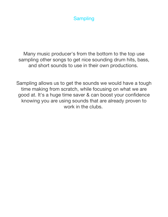### **Sampling**

Many music producer's from the bottom to the top use sampling other songs to get nice sounding drum hits, bass, and short sounds to use in their own productions.

Sampling allows us to get the sounds we would have a tough time making from scratch, while focusing on what we are good at. It's a huge time saver & can boost your confdence knowing you are using sounds that are already proven to work in the clubs.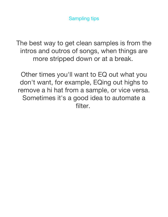The best way to get clean samples is from the intros and outros of songs, when things are more stripped down or at a break.

Other times you'll want to EQ out what you don't want, for example, EQing out highs to remove a hi hat from a sample, or vice versa. Sometimes it's a good idea to automate a filter.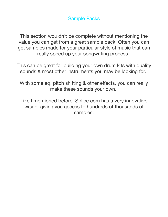Sample Packs

This section wouldn't be complete without mentioning the value you can get from a great sample pack. Often you can get samples made for your particular style of music that can really speed up your songwriting process.

This can be great for building your own drum kits with quality sounds & most other instruments you may be looking for.

With some eq, pitch shifting & other effects, you can really make these sounds your own.

Like I mentioned before, Splice.com has a very innovative way of giving you access to hundreds of thousands of samples.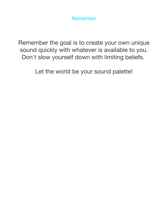Remember

Remember the goal is to create your own unique sound quickly with whatever is available to you. Don't slow yourself down with limiting beliefs.

Let the world be your sound palette!